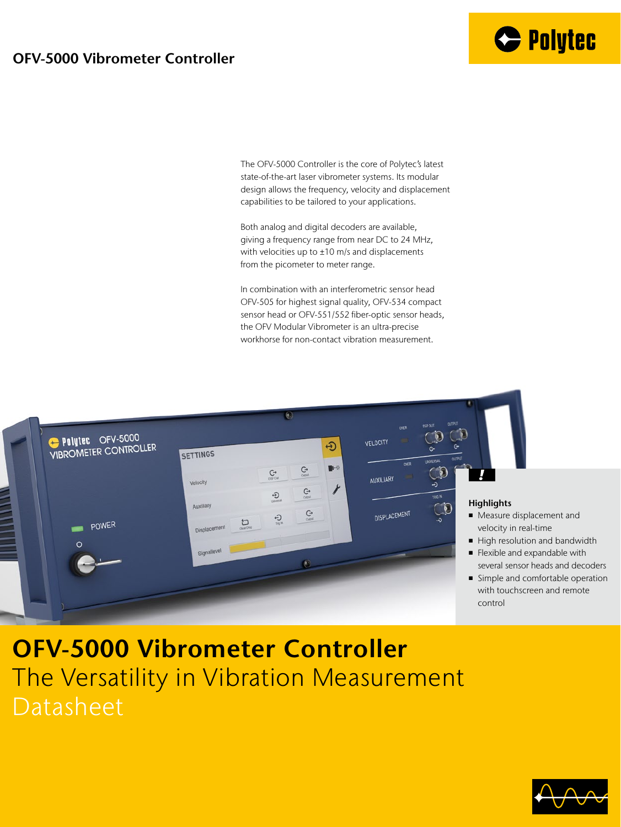## **OFV-5000 Vibrometer Controller**

The OFV-5000 Controller is the core of Polytec's latest state-of-the-art laser vibrometer systems. Its modular design allows the frequency, velocity and displacement capabilities to be tailored to your applications.

Both analog and digital decoders are available, giving a frequency range from near DC to 24 MHz, with velocities up to  $\pm 10$  m/s and displacements from the picometer to meter range.

In combination with an interferometric sensor head OFV-505 for highest signal quality, OFV-534 compact sensor head or OFV-551/552 fiber-optic sensor heads, the OFV Modular Vibrometer is an ultra-precise workhorse for non-contact vibration measurement.



# **OFV-5000 Vibrometer Controller** The Versatility in Vibration Measurement Datasheet

**C** Polytec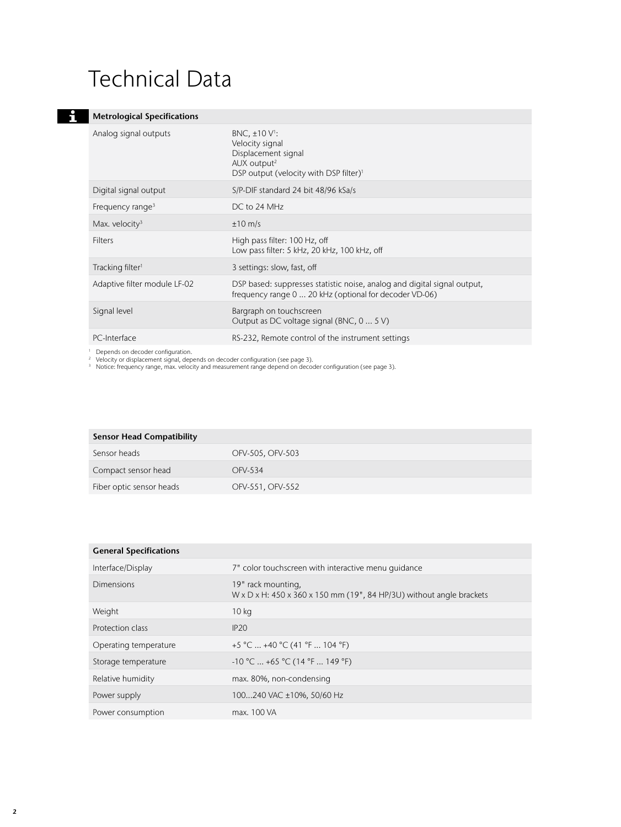# Technical Data

#### **Metrological Specifications Experience**

| Analog signal outputs                    | BNC, $\pm 10 \text{ V}$ :<br>Velocity signal<br>Displacement signal<br>AUX output <sup>2</sup><br>DSP output (velocity with DSP filter) <sup>1</sup> |
|------------------------------------------|------------------------------------------------------------------------------------------------------------------------------------------------------|
| Digital signal output                    | S/P-DIF standard 24 bit 48/96 kSa/s                                                                                                                  |
| Frequency range <sup>3</sup>             | DC to 24 MHz                                                                                                                                         |
| Max. velocity $3$                        | $\pm 10$ m/s                                                                                                                                         |
| <b>Filters</b>                           | High pass filter: 100 Hz, off<br>Low pass filter: 5 kHz, 20 kHz, 100 kHz, off                                                                        |
| Tracking filter <sup>1</sup>             | 3 settings: slow, fast, off                                                                                                                          |
| Adaptive filter module LF-02             | DSP based: suppresses statistic noise, analog and digital signal output,<br>frequency range 0  20 kHz (optional for decoder VD-06)                   |
| Signal level                             | Bargraph on touchscreen<br>Output as DC voltage signal (BNC, 0  5 V)                                                                                 |
| PC-Interface                             | RS-232, Remote control of the instrument settings                                                                                                    |
| $\perp$ Depends on decoder configuration |                                                                                                                                                      |

1 Depends on decoder configuration.<br><sup>2</sup> Velocity or displacement signal, depends on decoder configuration (see page 3).<br><sup>3</sup> Notice: frequency range, max. velocity and measurement range depend on decoder configuration (see

| <b>Sensor Head Compatibility</b> |                  |
|----------------------------------|------------------|
| Sensor heads                     | OFV-505, OFV-503 |
| Compact sensor head              | OFV-534          |
| Fiber optic sensor heads         | OFV-551, OFV-552 |

| <b>General Specifications</b> |                                                                                                         |
|-------------------------------|---------------------------------------------------------------------------------------------------------|
| Interface/Display             | 7" color touchscreen with interactive menu quidance                                                     |
| Dimensions                    | 19" rack mounting,<br>$W \times D \times H$ : 450 x 360 x 150 mm (19", 84 HP/3U) without angle brackets |
| Weight                        | 10 <sub>kg</sub>                                                                                        |
| Protection class              | IP20                                                                                                    |
| Operating temperature         | $+5$ °C  +40 °C (41 °F  104 °F)                                                                         |
| Storage temperature           | $-10$ °C  +65 °C (14 °F  149 °F)                                                                        |
| Relative humidity             | max. 80%, non-condensing                                                                                |
| Power supply                  | 100240 VAC ±10%, 50/60 Hz                                                                               |
| Power consumption             | max. 100 VA                                                                                             |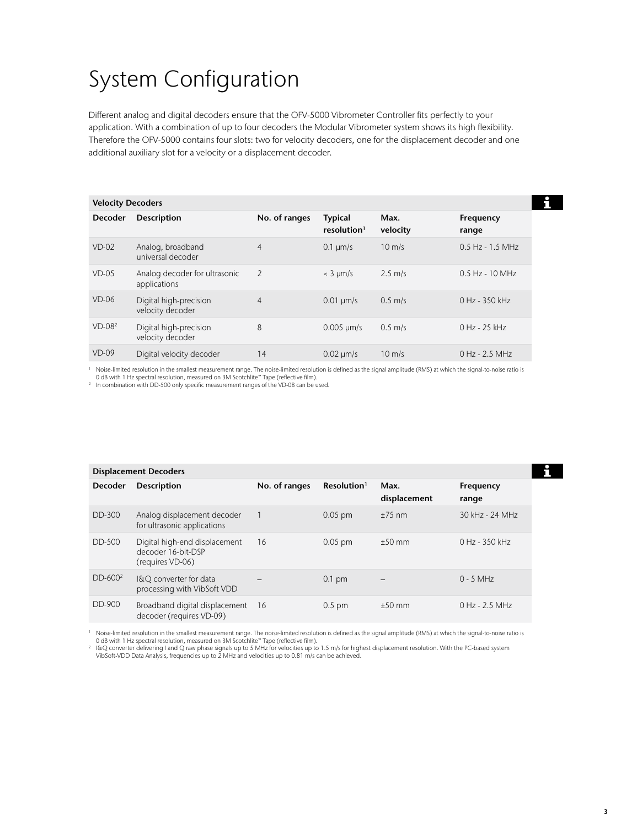# System Configuration

Different analog and digital decoders ensure that the OFV-5000 Vibrometer Controller fits perfectly to your application. With a combination of up to four decoders the Modular Vibrometer system shows its high flexibility. Therefore the OFV-5000 contains four slots: two for velocity decoders, one for the displacement decoder and one additional auxiliary slot for a velocity or a displacement decoder.

| <b>Velocity Decoders</b> |                                               |                |                                           |                  |                    |  |
|--------------------------|-----------------------------------------------|----------------|-------------------------------------------|------------------|--------------------|--|
| <b>Decoder</b>           | <b>Description</b>                            | No. of ranges  | <b>Typical</b><br>resolution <sup>1</sup> | Max.<br>velocity | Frequency<br>range |  |
| $VD-02$                  | Analog, broadband<br>universal decoder        | $\overline{4}$ | $0.1 \mu m/s$                             | $10 \text{ m/s}$ | $0.5$ Hz - 1.5 MHz |  |
| $VD-05$                  | Analog decoder for ultrasonic<br>applications | $\mathcal{P}$  | $<$ 3 $\mu$ m/s                           | $2.5$ m/s        | $0.5$ Hz - 10 MHz  |  |
| $VD-06$                  | Digital high-precision<br>velocity decoder    | $\overline{4}$ | $0.01 \text{ um/s}$                       | $0.5$ m/s        | $0$ Hz - 3.50 kHz  |  |
| $VD-082$                 | Digital high-precision<br>velocity decoder    | 8              | $0.005 \mu m/s$                           | $0.5$ m/s        | $0$ Hz - 25 kHz    |  |
| $VD-09$                  | Digital velocity decoder                      | 14             | $0.02 \mu m/s$                            | $10 \text{ m/s}$ | 0 Hz - 2.5 MHz     |  |

<sup>1</sup> Noise-limited resolution in the smallest measurement range. The noise-limited resolution is defined as the signal amplitude (RMS) at which the signal-to-noise ratio is<br>○ dB with 1 Hz spectral resolution, measured on

<sup>2</sup> In combination with DD-500 only specific measurement ranges of the VD-08 can be used.

| <b>Displacement Decoders</b> |                                                                         |               |                         |                          |                    |  |  |
|------------------------------|-------------------------------------------------------------------------|---------------|-------------------------|--------------------------|--------------------|--|--|
| <b>Decoder</b>               | <b>Description</b>                                                      | No. of ranges | Resolution <sup>1</sup> | Max.<br>displacement     | Frequency<br>range |  |  |
| DD-300                       | Analog displacement decoder<br>for ultrasonic applications              |               | $0.05$ pm               | $+75$ nm                 | 30 kHz - 24 MHz    |  |  |
| <b>DD-500</b>                | Digital high-end displacement<br>decoder 16-bit-DSP<br>(requires VD-06) | 16            | $0.05$ pm               | $+50$ mm                 | 0 Hz - 350 kHz     |  |  |
| $DD-6002$                    | I&Q converter for data<br>processing with VibSoft VDD                   |               | $0.1$ pm                | $\overline{\phantom{0}}$ | $0 - 5$ MHz        |  |  |
| DD-900                       | Broadband digital displacement 16<br>decoder (requires VD-09)           |               | $0.5$ pm                | $+50$ mm                 | $0$ Hz - 2.5 MHz   |  |  |

<sup>1</sup> Noise-limited resolution in the smallest measurement range. The noise-limited resolution is defined as the signal amplitude (RMS) at which the signal-to-noise ratio is<br>0 dB with 1 Hz spectral resolution, measured on

VibSoft-VDD Data Analysis, frequencies up to 2 MHz and velocities up to 0.81 m/s can be achieved.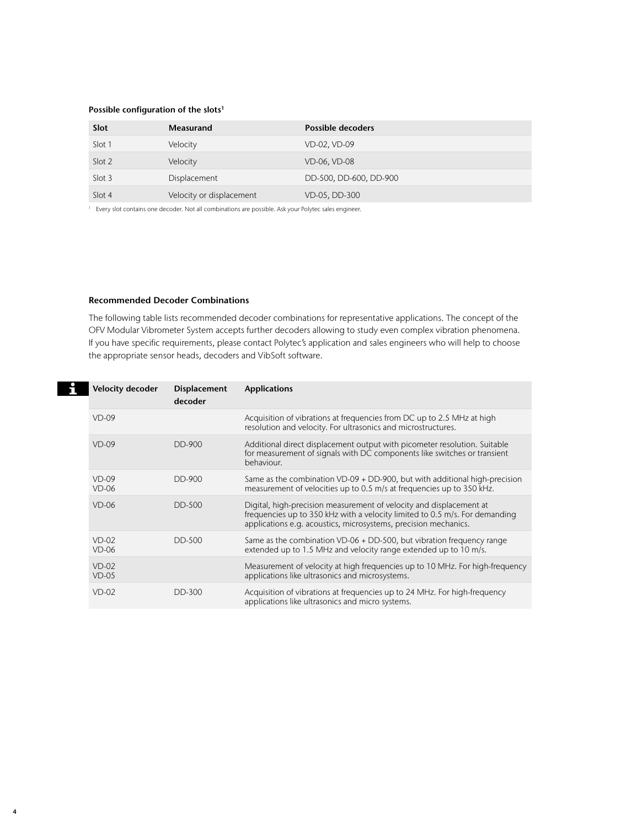### **Possible configuration of the slots1**

| Slot   | Measurand                | <b>Possible decoders</b> |
|--------|--------------------------|--------------------------|
| Slot 1 | Velocity                 | VD-02, VD-09             |
| Slot 2 | Velocity                 | VD-06, VD-08             |
| Slot 3 | Displacement             | DD-500, DD-600, DD-900   |
| Slot 4 | Velocity or displacement | VD-05, DD-300            |

<sup>1</sup> Every slot contains one decoder. Not all combinations are possible. Ask your Polytec sales engineer.

### **Recommended Decoder Combinations**

**4**

The following table lists recommended decoder combinations for representative applications. The concept of the OFV Modular Vibrometer System accepts further decoders allowing to study even complex vibration phenomena. If you have specific requirements, please contact Polytec's application and sales engineers who will help to choose the appropriate sensor heads, decoders and VibSoft software.

|  | <b>Velocity decoder</b> | <b>Displacement</b><br>decoder | <b>Applications</b>                                                                                                                                                                                                   |
|--|-------------------------|--------------------------------|-----------------------------------------------------------------------------------------------------------------------------------------------------------------------------------------------------------------------|
|  | $VD-09$                 |                                | Acquisition of vibrations at frequencies from DC up to 2.5 MHz at high<br>resolution and velocity. For ultrasonics and microstructures.                                                                               |
|  | $VD-09$                 | DD-900                         | Additional direct displacement output with picometer resolution. Suitable<br>for measurement of signals with DC components like switches or transient<br>behaviour.                                                   |
|  | $VD-09$<br>$VD-06$      | DD-900                         | Same as the combination $VD-09 + DD-900$ , but with additional high-precision<br>measurement of velocities up to 0.5 m/s at frequencies up to 350 kHz.                                                                |
|  | $VD-06$                 | DD-500                         | Digital, high-precision measurement of velocity and displacement at<br>frequencies up to 350 kHz with a velocity limited to 0.5 m/s. For demanding<br>applications e.g. acoustics, microsystems, precision mechanics. |
|  | $VD-02$<br>$VD-06$      | DD-500                         | Same as the combination $VD-06 + DD-500$ , but vibration frequency range<br>extended up to 1.5 MHz and velocity range extended up to 10 m/s.                                                                          |
|  | $VD-02$<br>$VD-05$      |                                | Measurement of velocity at high frequencies up to 10 MHz. For high-frequency<br>applications like ultrasonics and microsystems.                                                                                       |
|  | $VD-02$                 | DD-300                         | Acquisition of vibrations at frequencies up to 24 MHz. For high-frequency<br>applications like ultrasonics and micro systems.                                                                                         |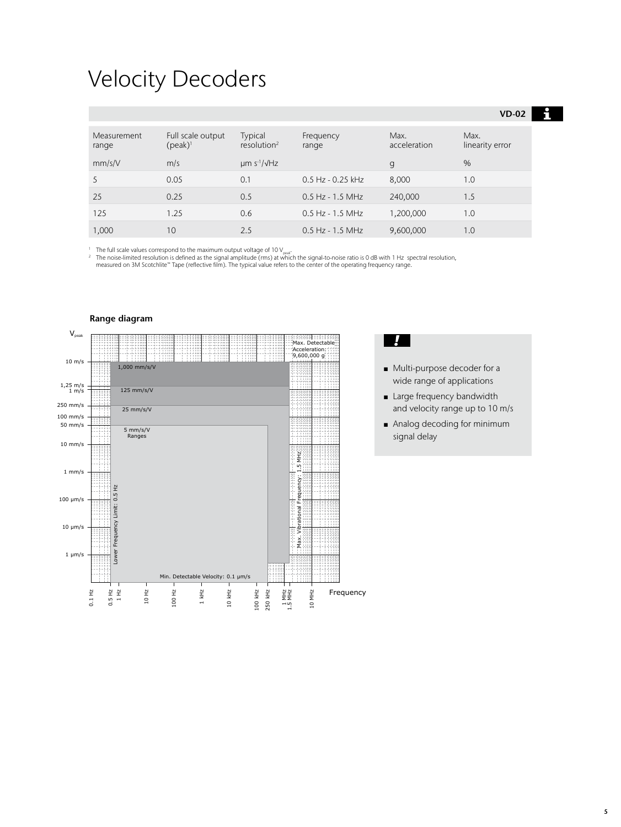## Velocity Decoders

|                      |                                 |                                       |                       |                      | $VD-02$                 |
|----------------------|---------------------------------|---------------------------------------|-----------------------|----------------------|-------------------------|
| Measurement<br>range | Full scale output<br>$(peak)^1$ | Typical<br>resolution <sup>2</sup>    | Frequency<br>range    | Max.<br>acceleration | Max.<br>linearity error |
| mm/s/V               | m/s                             | $\mu$ m s <sup>-1</sup> / $\sqrt{Hz}$ |                       | g                    | $\%$                    |
| 5                    | 0.05                            | 0.1                                   | $0.5$ Hz - $0.25$ kHz | 8,000                | 1.0                     |
| 25                   | 0.25                            | 0.5                                   | $0.5$ Hz - 1.5 MHz    | 240,000              | 1.5                     |
| 125                  | 1.25                            | 0.6                                   | $0.5$ Hz - 1.5 MHz    | 1,200,000            | 1.0                     |
| 1,000                | 10                              | 2.5                                   | $0.5$ Hz - 1.5 MHz    | 9,600,000            | 1.0                     |

<sup>1</sup> The full scale values correspond to the maximum output voltage of 10 V<sub>peat</sub>.<br><sup>2</sup> The noise-limited resolution is defined as the signal amplitude (rms) at which the signal-to-noise ratio is 0 dB with 1 Hz spectral re





■ Multi-purpose decoder for a wide range of applications

H

- Large frequency bandwidth and velocity range up to 10 m/s
- Analog decoding for minimum signal delay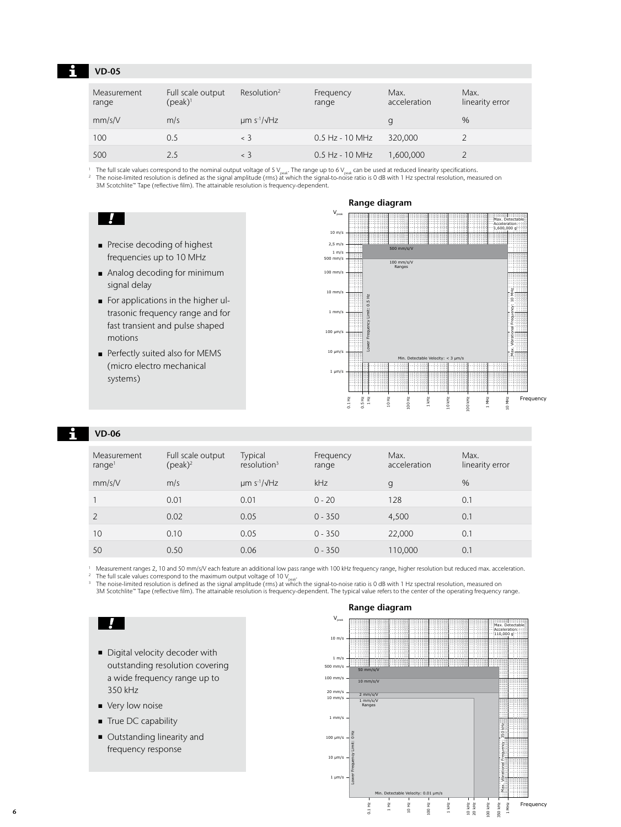### **VD-05**

| Measurement<br>range | Full scale output<br>$(peak)^1$ | Resolution <sup>2</sup>               | Frequency<br>range | Max.<br>acceleration | Max.<br>linearity error |
|----------------------|---------------------------------|---------------------------------------|--------------------|----------------------|-------------------------|
| mm/s/V               | m/s                             | $\mu$ m s <sup>-1</sup> / $\sqrt{Hz}$ |                    | g                    | $\%$                    |
| 100                  | 0.5                             | $\langle$ 3                           | $0.5$ Hz - 10 MHz  | 320,000              |                         |
| 500                  | 2.5                             | $\leq$ 3                              | $0.5$ Hz - 10 MHz  | 1,600,000            |                         |

The full scale values correspond to the nominal output voltage of 5  $V_{\rm peak}$ . The range up to 6  $V_{\rm peak}$  can be used at reduced linearity specifications.<br>2 The noise-limited resolution is defined as the signal amplitude (

## $\Box$

- Precise decoding of highest frequencies up to 10 MHz
- Analog decoding for minimum signal delay
- For applications in the higher ultrasonic frequency range and for fast transient and pulse shaped motions
- Perfectly suited also for MEMS (micro electro mechanical systems)



### **VD-06**

| Measurement<br>range <sup>1</sup> | Full scale output<br>$(peak)^2$ | <b>Typical</b><br>resolution <sup>3</sup> | Frequency<br>range | Max.<br>acceleration | Max.<br>linearity error |
|-----------------------------------|---------------------------------|-------------------------------------------|--------------------|----------------------|-------------------------|
| mm/s/V                            | m/s                             | $\mu$ m s <sup>-1</sup> / $\sqrt{Hz}$     | kHz                | g                    | %                       |
|                                   | 0.01                            | 0.01                                      | $0 - 20$           | 128                  | 0.1                     |
| $\mathcal{P}$                     | 0.02                            | 0.05                                      | $0 - 350$          | 4,500                | 0.1                     |
| 10                                | 0.10                            | 0.05                                      | $0 - 350$          | 22,000               | 0.1                     |
| 50                                | 0.50                            | 0.06                                      | $0 - 350$          | 110,000              | 0.1                     |

<sup>1</sup> Measurement ranges 2, 10 and 50 mm/s/V each feature an additional low pass range with 100 kHz frequency range, higher resolution but reduced max. acceleration.<br><sup>2</sup> The full scale values correspond to the maximum outpu

The noise-limited resolution is defined as the signal amplitude (rms) at which the signal-to-noise ratio is 0 dB with 1 Hz spectral resolution, measured on 3M Scotchlite™ Tape (reflective film). The attainable resolution is frequency-dependent. The typical value refers to the center of the operating frequency range. **VD-06 Range Diagram**

## $\mathbf{I}$

- Digital velocity decoder with outstanding resolution covering a wide frequency range up to 350 kHz
- Very low noise
- True DC capability
- Outstanding linearity and frequency response

### **Range diagram**

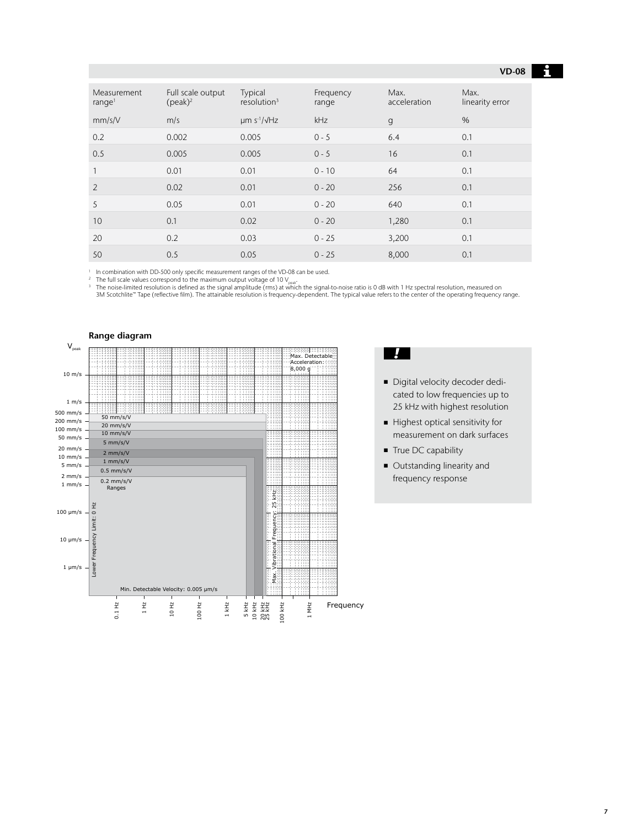### **VD-08**

| <b>Measurement</b><br>range <sup>1</sup> | Full scale output<br>$(peak)^2$ | Typical<br>resolution <sup>3</sup> | Frequency<br>range | Max.<br>acceleration | Max.<br>linearity error |
|------------------------------------------|---------------------------------|------------------------------------|--------------------|----------------------|-------------------------|
| mm/s/V                                   | m/s                             | $µm s^{-1}/\sqrt{Hz}$              | kHz                | $\mathbf{q}$         | $\%$                    |
| 0.2                                      | 0.002                           | 0.005                              | $0 - 5$            | 6.4                  | 0.1                     |
| 0.5                                      | 0.005                           | 0.005                              | $0 - 5$            | 16                   | 0.1                     |
| 1                                        | 0.01                            | 0.01                               | $0 - 10$           | 64                   | 0.1                     |
| $\overline{2}$                           | 0.02                            | 0.01                               | $0 - 20$           | 256                  | 0.1                     |
| 5                                        | 0.05                            | 0.01                               | $0 - 20$           | 640                  | 0.1                     |
| 10                                       | 0.1                             | 0.02                               | $0 - 20$           | 1,280                | 0.1                     |
| 20                                       | 0.2                             | 0.03                               | $0 - 25$           | 3,200                | 0.1                     |
| 50                                       | 0.5                             | 0.05                               | $0 - 25$           | 8,000                | 0.1                     |

<sup>1</sup> In combination with DD-500 only specific measurement ranges of the VD-08 can be used.<br><sup>2</sup> The full scale values correspond to the maximum output voltage of 10 V

The full scale values correspond to the maximum output voltage of 10 V<sub>issak</sub>.<br>3 The noise-limited resolution is defined as the signal amplitude (rms) at which the signal-to-noise ratio is 0 dB with 1 Hz spectral resolutio



### $\blacksquare$

- Digital velocity decoder dedicated to low frequencies up to 25 kHz with highest resolution
- Highest optical sensitivity for measurement on dark surfaces
- True DC capability
- Outstanding linearity and frequency response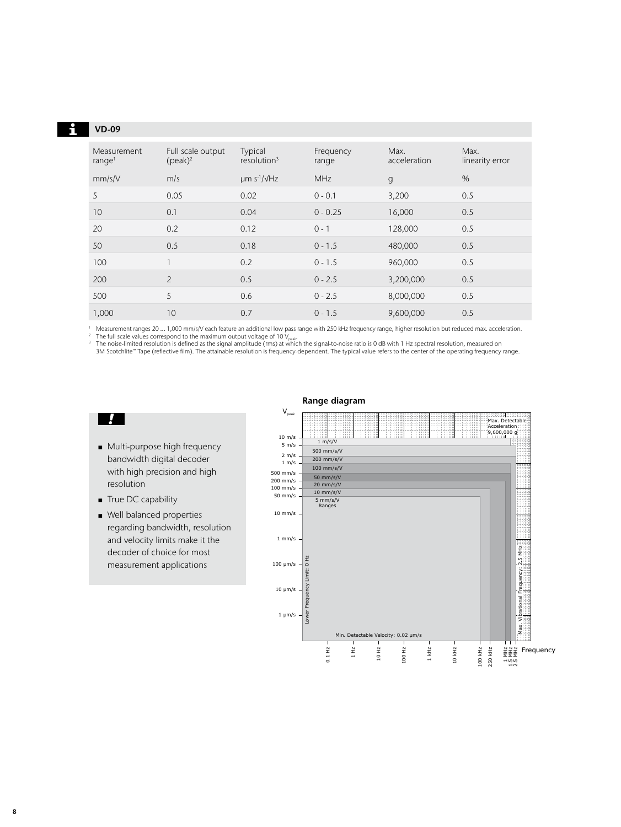| <b>VD-09</b>                      |                                 |                                       |                    |                      |                         |
|-----------------------------------|---------------------------------|---------------------------------------|--------------------|----------------------|-------------------------|
| Measurement<br>range <sup>1</sup> | Full scale output<br>$(peak)^2$ | Typical<br>resolution <sup>3</sup>    | Frequency<br>range | Max.<br>acceleration | Max.<br>linearity error |
| mm/s/V                            | m/s                             | $\mu$ m s <sup>-1</sup> / $\sqrt{Hz}$ | <b>MHz</b>         | $\mathbf{q}$         | $\%$                    |
| 5                                 | 0.05                            | 0.02                                  | $0 - 0.1$          | 3,200                | 0.5                     |
| 10                                | 0.1                             | 0.04                                  | $0 - 0.25$         | 16,000               | 0.5                     |
| 20                                | 0.2                             | 0.12                                  | $0 - 1$            | 128,000              | 0.5                     |
| 50                                | 0.5                             | 0.18                                  | $0 - 1.5$          | 480,000              | 0.5                     |
| 100                               | 1                               | 0.2                                   | $0 - 1.5$          | 960,000              | 0.5                     |
| 200                               | $\overline{\phantom{a}}$        | 0.5                                   | $0 - 2.5$          | 3,200,000            | 0.5                     |
| 500                               | 5                               | 0.6                                   | $0 - 2.5$          | 8,000,000            | 0.5                     |
| 1,000                             | 10                              | 0.7                                   | $0 - 1.5$          | 9,600,000            | 0.5                     |

<sup>1</sup> Measurement ranges 20 ... 1,000 mm/s/V each feature an additional low pass range with 250 kHz frequency range, higher resolution but reduced max. acceleration. The full scale values correspond to the maximum output voltage of 10  $V_{\text{peak}}$ .<br>The full scale values correspond to the maximum output voltage of 10  $V_{\text{peak}}$ .<br>The noise-limited resolution is defined as the signal amplitu

3M Scotchlite™ Tape (reflective film). The attainable resolution is frequency-dependent. The typical value refers to the center of the operating frequency range.

## $\mathcal{L}$

- Multi-purpose high frequency bandwidth digital decoder with high precision and high resolution
- True DC capability
- Well balanced properties regarding bandwidth, resolution and velocity limits make it the decoder of choice for most measurement applications

## **Range diagram**



### $\mathbf{i}$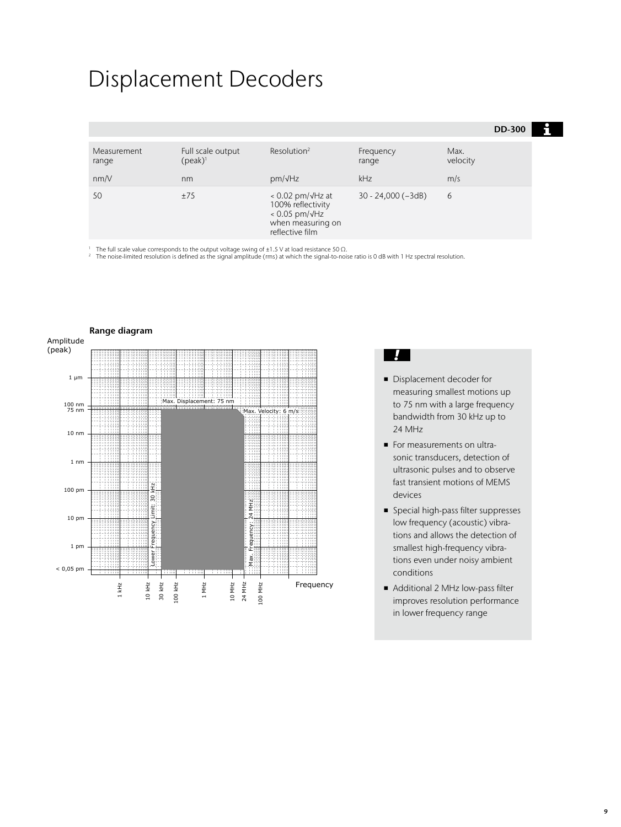## Displacement Decoders

|                              |                                       |                                                                                                                      |                           |                         | <b>DD-300</b> |  |
|------------------------------|---------------------------------------|----------------------------------------------------------------------------------------------------------------------|---------------------------|-------------------------|---------------|--|
| Measurement<br>range<br>nm/V | Full scale output<br>$(peak)^1$<br>nm | Resolution <sup>2</sup><br>$pm/\sqrt{Hz}$                                                                            | Frequency<br>range<br>kHz | Max.<br>velocity<br>m/s |               |  |
| 50                           | ±75                                   | $< 0.02$ pm/ $\sqrt{Hz}$ at<br>100% reflectivity<br>$< 0.05$ pm/ $\sqrt{Hz}$<br>when measuring on<br>reflective film | $30 - 24,000(-3dB)$       | 6                       |               |  |

<sup>1</sup> The full scale value corresponds to the output voltage swing of ±1.5 V at load resistance 50 Ω.<br><sup>2</sup> The noise-limited resolution is defined as the signal amplitude (rms) at which the signal-to-noise ratio is 0 dB wit



### J

- Displacement decoder for measuring smallest motions up to 75 nm with a large frequency bandwidth from 30 kHz up to 24 MHz
- For measurements on ultrasonic transducers, detection of ultrasonic pulses and to observe fast transient motions of MEMS devices
- Special high-pass filter suppresses low frequency (acoustic) vibrations and allows the detection of smallest high-frequency vibrations even under noisy ambient conditions
- Additional 2 MHz low-pass filter improves resolution performance in lower frequency range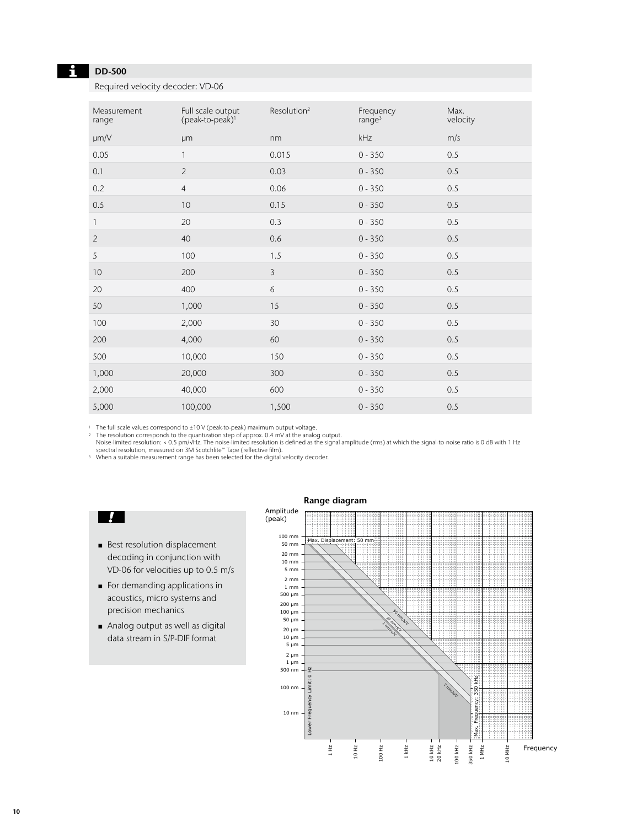### Н

## **DD-500**

Required velocity decoder: VD-06

| Measurement<br>range | Full scale output<br>(peak-to-peak) <sup>1</sup> | Resolution <sup>2</sup> | Frequency<br>range <sup>3</sup> | Max.<br>velocity |
|----------------------|--------------------------------------------------|-------------------------|---------------------------------|------------------|
| $\mu$ m/V            | <b>µm</b>                                        | nm                      | kHz                             | m/s              |
| 0.05                 | $\mathbf{1}$                                     | 0.015                   | $0 - 350$                       | 0.5              |
| 0.1                  | $\overline{2}$                                   | 0.03                    | $0 - 350$                       | 0.5              |
| 0.2                  | $\overline{4}$                                   | 0.06                    | $0 - 350$                       | 0.5              |
| 0.5                  | 10                                               | 0.15                    | $0 - 350$                       | 0.5              |
| $\mathbf{1}$         | 20                                               | 0.3                     | $0 - 350$                       | 0.5              |
| 2                    | 40                                               | 0.6                     | $0 - 350$                       | 0.5              |
| 5                    | 100                                              | 1.5                     | $0 - 350$                       | 0.5              |
| 10                   | 200                                              | $\overline{3}$          | $0 - 350$                       | 0.5              |
| 20                   | 400                                              | 6                       | $0 - 350$                       | 0.5              |
| 50                   | 1,000                                            | 15                      | $0 - 350$                       | 0.5              |
| 100                  | 2,000                                            | 30                      | $0 - 350$                       | 0.5              |
| 200                  | 4,000                                            | 60                      | $0 - 350$                       | 0.5              |
| 500                  | 10,000                                           | 150                     | $0 - 350$                       | 0.5              |
| 1,000                | 20,000                                           | 300                     | $0 - 350$                       | 0.5              |
| 2,000                | 40,000                                           | 600                     | $0 - 350$                       | 0.5              |
| 5,000                | 100,000                                          | 1,500                   | $0 - 350$                       | 0.5              |

1 The full scale values correspond to ±10 V (peak-to-peak) maximum output voltage.<br>2 The resolution corresponds to the quantization step of approx 0.4 mV at the analog

2 The resolution corresponds to the quantization step of approx. 0.4 mV at the analog output.<br>Noise-limited resolution: < 0.5 pm/√Hz. The noise-limited resolution is defined as the signal amplitude (rms) at which the sig

<sup>3</sup> When a suitable measurement range has been selected for the digital velocity decoder.

## $\mathbf{V}$

- Best resolution displacement decoding in conjunction with VD-06 for velocities up to 0.5 m/s
- For demanding applications in acoustics, micro systems and precision mechanics
- Analog output as well as digital data stream in S/P-DIF format

### **Range diagram**

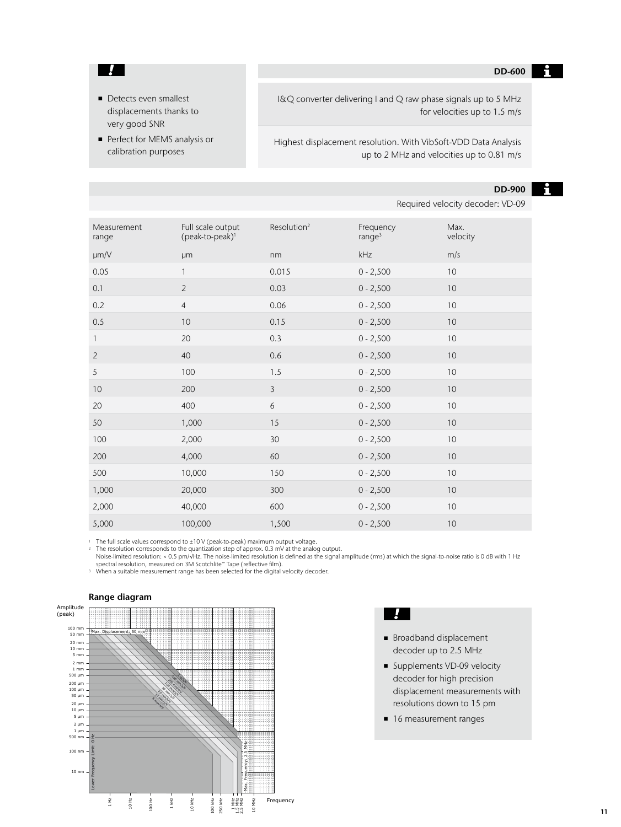#### **DD-600**  $\mathbf{H}$

■ Detects even smallest displacements thanks to very good SNR

 $\mathbf{I}$ 

■ Perfect for MEMS analysis or calibration purposes

I&Q converter delivering I and Q raw phase signals up to 5 MHz for velocities up to 1.5 m/s

Highest displacement resolution. With VibSoft-VDD Data Analysis up to 2 MHz and velocities up to 0.81 m/s

### **DD-900**

Required velocity decoder: VD-09

| Measurement<br>range | Full scale output<br>(peak-to-peak) <sup>1</sup> | Resolution <sup>2</sup> | Frequency<br>range <sup>3</sup> | Max.<br>velocity |
|----------------------|--------------------------------------------------|-------------------------|---------------------------------|------------------|
| $\mu$ m/V            | μm                                               | nm                      | kHz                             | m/s              |
| 0.05                 | 1                                                | 0.015                   | $0 - 2,500$                     | 10               |
| 0.1                  | $\overline{2}$                                   | 0.03                    | $0 - 2,500$                     | 10               |
| 0.2                  | $\overline{4}$                                   | 0.06                    | $0 - 2,500$                     | 10               |
| 0.5                  | 10                                               | 0.15                    | $0 - 2,500$                     | 10               |
| $\mathbf{1}$         | 20                                               | 0.3                     | $0 - 2,500$                     | 10               |
| $\overline{2}$       | 40                                               | 0.6                     | $0 - 2,500$                     | 10               |
| 5                    | 100                                              | 1.5                     | $0 - 2,500$                     | 10               |
| 10                   | 200                                              | $\mathbf{3}$            | $0 - 2,500$                     | $10$             |
| 20                   | 400                                              | 6                       | $0 - 2,500$                     | 10               |
| 50                   | 1,000                                            | 15                      | $0 - 2,500$                     | 10               |
| 100                  | 2,000                                            | 30                      | $0 - 2,500$                     | $10$             |
| 200                  | 4,000                                            | 60                      | $0 - 2,500$                     | 10               |
| 500                  | 10,000                                           | 150                     | $0 - 2,500$                     | 10               |
| 1,000                | 20,000                                           | 300                     | $0 - 2,500$                     | 10               |
| 2,000                | 40,000                                           | 600                     | $0 - 2,500$                     | $10$             |
| 5,000                | 100,000                                          | 1,500                   | $0 - 2,500$                     | 10               |

<sup>1</sup> The full scale values correspond to ±10 V (peak-to-peak) maximum output voltage.<br><sup>2</sup> The resolution corresponds to the quantization step of approx. 0.3 mV at the analog

<sup>2</sup> The resolution corresponds to the quantization step of approx. 0.3 mV at the analog output. Noise-limited resolution: < 0.5 pm/√Hz. The noise-limited resolution is defined as the signal amplitude (rms) at which the signal-to-noise ratio is 0 dB with 1 Hz spectral resolution, measured on 3M Scotchlite™ Tape (reflective film). <sup>3</sup> When a suitable measurement range has been selected for the digital velocity decoder.



### **Range diagram**

- $\blacksquare$
- Broadband displacement decoder up to 2.5 MHz
- Supplements VD-09 velocity decoder for high precision displacement measurements with resolutions down to 15 pm
- 16 measurement ranges